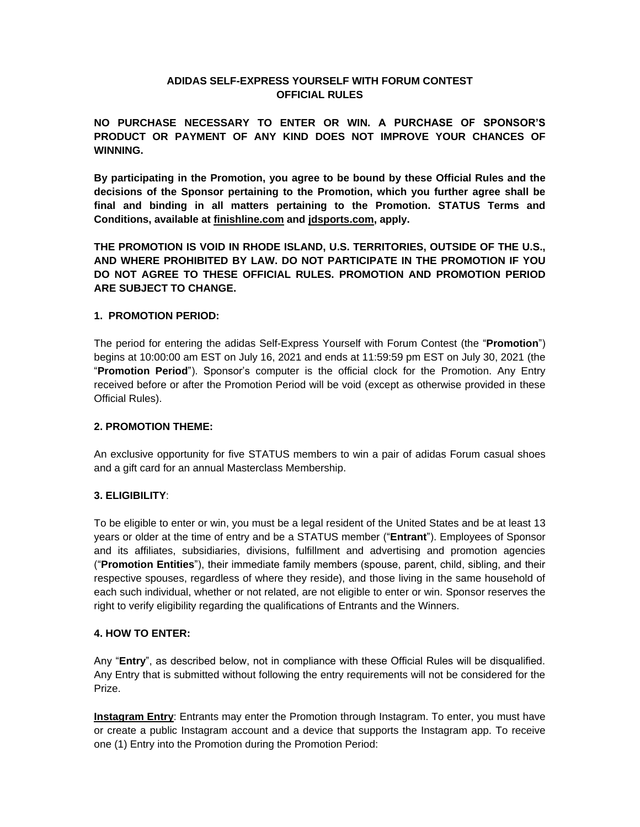## **ADIDAS SELF-EXPRESS YOURSELF WITH FORUM CONTEST OFFICIAL RULES**

**NO PURCHASE NECESSARY TO ENTER OR WIN. A PURCHASE OF SPONSOR'S PRODUCT OR PAYMENT OF ANY KIND DOES NOT IMPROVE YOUR CHANCES OF WINNING.**

**By participating in the Promotion, you agree to be bound by these Official Rules and the decisions of the Sponsor pertaining to the Promotion, which you further agree shall be final and binding in all matters pertaining to the Promotion. STATUS Terms and Conditions, available at finishline.com and jdsports.com, apply.**

**THE PROMOTION IS VOID IN RHODE ISLAND, U.S. TERRITORIES, OUTSIDE OF THE U.S., AND WHERE PROHIBITED BY LAW. DO NOT PARTICIPATE IN THE PROMOTION IF YOU DO NOT AGREE TO THESE OFFICIAL RULES. PROMOTION AND PROMOTION PERIOD ARE SUBJECT TO CHANGE.**

## **1. PROMOTION PERIOD:**

The period for entering the adidas Self-Express Yourself with Forum Contest (the "**Promotion**") begins at 10:00:00 am EST on July 16, 2021 and ends at 11:59:59 pm EST on July 30, 2021 (the "**Promotion Period**"). Sponsor's computer is the official clock for the Promotion. Any Entry received before or after the Promotion Period will be void (except as otherwise provided in these Official Rules).

## **2. PROMOTION THEME:**

An exclusive opportunity for five STATUS members to win a pair of adidas Forum casual shoes and a gift card for an annual Masterclass Membership.

## **3. ELIGIBILITY**:

To be eligible to enter or win, you must be a legal resident of the United States and be at least 13 years or older at the time of entry and be a STATUS member ("**Entrant**"). Employees of Sponsor and its affiliates, subsidiaries, divisions, fulfillment and advertising and promotion agencies ("**Promotion Entities**"), their immediate family members (spouse, parent, child, sibling, and their respective spouses, regardless of where they reside), and those living in the same household of each such individual, whether or not related, are not eligible to enter or win. Sponsor reserves the right to verify eligibility regarding the qualifications of Entrants and the Winners.

## **4. HOW TO ENTER:**

Any "**Entry**", as described below, not in compliance with these Official Rules will be disqualified. Any Entry that is submitted without following the entry requirements will not be considered for the Prize.

**Instagram Entry**: Entrants may enter the Promotion through Instagram. To enter, you must have or create a public Instagram account and a device that supports the Instagram app. To receive one (1) Entry into the Promotion during the Promotion Period: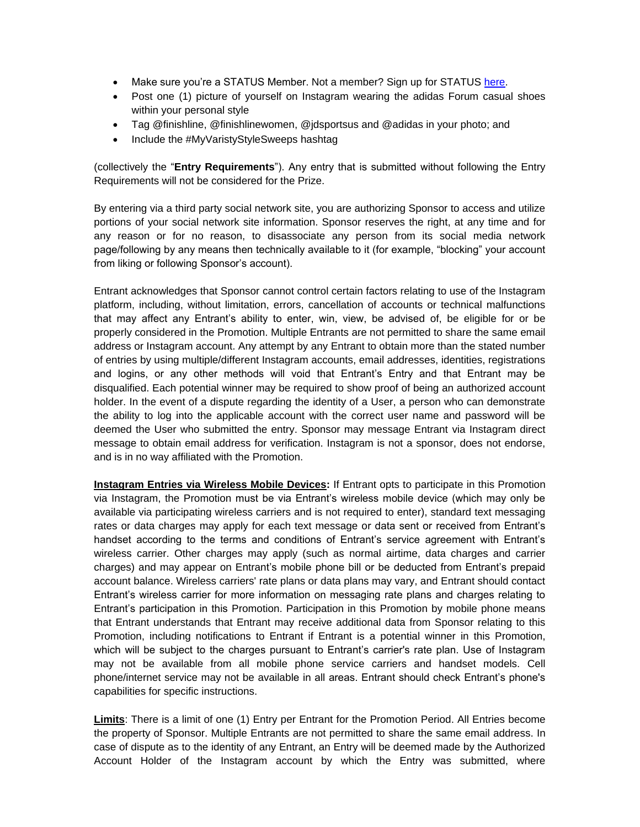- Make sure you're a STATUS Member. Not a member? Sign up for STATUS [here.](https://account.finishline.com/register)
- Post one (1) picture of yourself on Instagram wearing the adidas Forum casual shoes within your personal style
- Tag @finishline, @finishlinewomen, @jdsportsus and @adidas in your photo; and
- Include the #MyVaristyStyleSweeps hashtag

(collectively the "**Entry Requirements**"). Any entry that is submitted without following the Entry Requirements will not be considered for the Prize.

By entering via a third party social network site, you are authorizing Sponsor to access and utilize portions of your social network site information. Sponsor reserves the right, at any time and for any reason or for no reason, to disassociate any person from its social media network page/following by any means then technically available to it (for example, "blocking" your account from liking or following Sponsor's account).

Entrant acknowledges that Sponsor cannot control certain factors relating to use of the Instagram platform, including, without limitation, errors, cancellation of accounts or technical malfunctions that may affect any Entrant's ability to enter, win, view, be advised of, be eligible for or be properly considered in the Promotion. Multiple Entrants are not permitted to share the same email address or Instagram account. Any attempt by any Entrant to obtain more than the stated number of entries by using multiple/different Instagram accounts, email addresses, identities, registrations and logins, or any other methods will void that Entrant's Entry and that Entrant may be disqualified. Each potential winner may be required to show proof of being an authorized account holder. In the event of a dispute regarding the identity of a User, a person who can demonstrate the ability to log into the applicable account with the correct user name and password will be deemed the User who submitted the entry. Sponsor may message Entrant via Instagram direct message to obtain email address for verification. Instagram is not a sponsor, does not endorse, and is in no way affiliated with the Promotion.

**Instagram Entries via Wireless Mobile Devices:** If Entrant opts to participate in this Promotion via Instagram, the Promotion must be via Entrant's wireless mobile device (which may only be available via participating wireless carriers and is not required to enter), standard text messaging rates or data charges may apply for each text message or data sent or received from Entrant's handset according to the terms and conditions of Entrant's service agreement with Entrant's wireless carrier. Other charges may apply (such as normal airtime, data charges and carrier charges) and may appear on Entrant's mobile phone bill or be deducted from Entrant's prepaid account balance. Wireless carriers' rate plans or data plans may vary, and Entrant should contact Entrant's wireless carrier for more information on messaging rate plans and charges relating to Entrant's participation in this Promotion. Participation in this Promotion by mobile phone means that Entrant understands that Entrant may receive additional data from Sponsor relating to this Promotion, including notifications to Entrant if Entrant is a potential winner in this Promotion, which will be subject to the charges pursuant to Entrant's carrier's rate plan. Use of Instagram may not be available from all mobile phone service carriers and handset models. Cell phone/internet service may not be available in all areas. Entrant should check Entrant's phone's capabilities for specific instructions.

**Limits**: There is a limit of one (1) Entry per Entrant for the Promotion Period. All Entries become the property of Sponsor. Multiple Entrants are not permitted to share the same email address. In case of dispute as to the identity of any Entrant, an Entry will be deemed made by the Authorized Account Holder of the Instagram account by which the Entry was submitted, where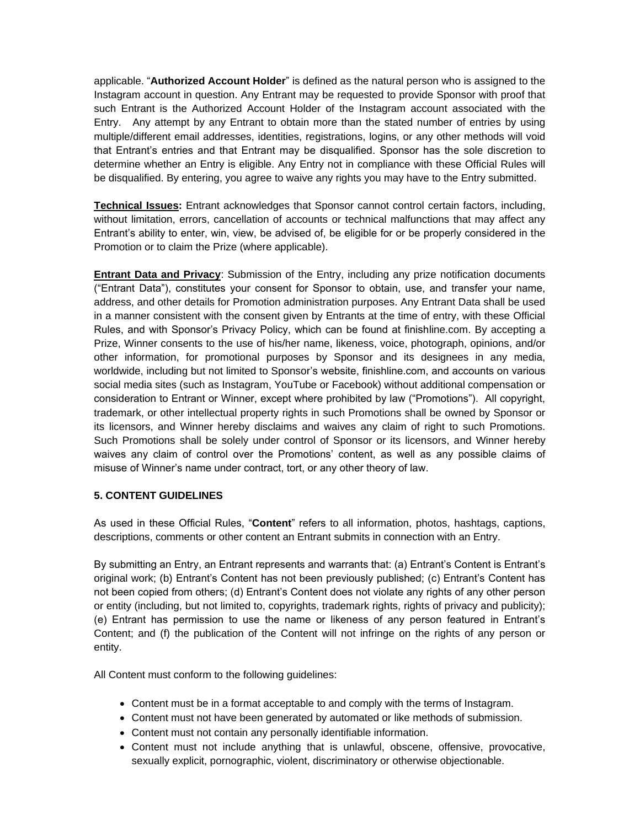applicable. "**Authorized Account Holder**" is defined as the natural person who is assigned to the Instagram account in question. Any Entrant may be requested to provide Sponsor with proof that such Entrant is the Authorized Account Holder of the Instagram account associated with the Entry. Any attempt by any Entrant to obtain more than the stated number of entries by using multiple/different email addresses, identities, registrations, logins, or any other methods will void that Entrant's entries and that Entrant may be disqualified. Sponsor has the sole discretion to determine whether an Entry is eligible. Any Entry not in compliance with these Official Rules will be disqualified. By entering, you agree to waive any rights you may have to the Entry submitted.

**Technical Issues:** Entrant acknowledges that Sponsor cannot control certain factors, including, without limitation, errors, cancellation of accounts or technical malfunctions that may affect any Entrant's ability to enter, win, view, be advised of, be eligible for or be properly considered in the Promotion or to claim the Prize (where applicable).

**Entrant Data and Privacy:** Submission of the Entry, including any prize notification documents ("Entrant Data"), constitutes your consent for Sponsor to obtain, use, and transfer your name, address, and other details for Promotion administration purposes. Any Entrant Data shall be used in a manner consistent with the consent given by Entrants at the time of entry, with these Official Rules, and with Sponsor's Privacy Policy, which can be found at finishline.com. By accepting a Prize, Winner consents to the use of his/her name, likeness, voice, photograph, opinions, and/or other information, for promotional purposes by Sponsor and its designees in any media, worldwide, including but not limited to Sponsor's website, finishline.com, and accounts on various social media sites (such as Instagram, YouTube or Facebook) without additional compensation or consideration to Entrant or Winner, except where prohibited by law ("Promotions"). All copyright, trademark, or other intellectual property rights in such Promotions shall be owned by Sponsor or its licensors, and Winner hereby disclaims and waives any claim of right to such Promotions. Such Promotions shall be solely under control of Sponsor or its licensors, and Winner hereby waives any claim of control over the Promotions' content, as well as any possible claims of misuse of Winner's name under contract, tort, or any other theory of law.

## **5. CONTENT GUIDELINES**

As used in these Official Rules, "**Content**" refers to all information, photos, hashtags, captions, descriptions, comments or other content an Entrant submits in connection with an Entry.

By submitting an Entry, an Entrant represents and warrants that: (a) Entrant's Content is Entrant's original work; (b) Entrant's Content has not been previously published; (c) Entrant's Content has not been copied from others; (d) Entrant's Content does not violate any rights of any other person or entity (including, but not limited to, copyrights, trademark rights, rights of privacy and publicity); (e) Entrant has permission to use the name or likeness of any person featured in Entrant's Content; and (f) the publication of the Content will not infringe on the rights of any person or entity.

All Content must conform to the following guidelines:

- Content must be in a format acceptable to and comply with the terms of Instagram.
- Content must not have been generated by automated or like methods of submission.
- Content must not contain any personally identifiable information.
- Content must not include anything that is unlawful, obscene, offensive, provocative, sexually explicit, pornographic, violent, discriminatory or otherwise objectionable.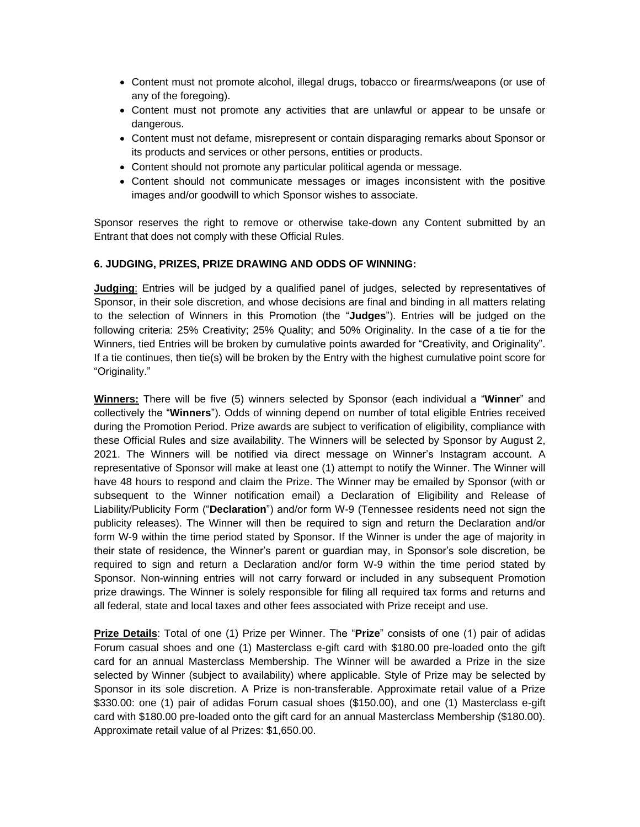- Content must not promote alcohol, illegal drugs, tobacco or firearms/weapons (or use of any of the foregoing).
- Content must not promote any activities that are unlawful or appear to be unsafe or dangerous.
- Content must not defame, misrepresent or contain disparaging remarks about Sponsor or its products and services or other persons, entities or products.
- Content should not promote any particular political agenda or message.
- Content should not communicate messages or images inconsistent with the positive images and/or goodwill to which Sponsor wishes to associate.

Sponsor reserves the right to remove or otherwise take-down any Content submitted by an Entrant that does not comply with these Official Rules.

## **6. JUDGING, PRIZES, PRIZE DRAWING AND ODDS OF WINNING:**

**Judging**: Entries will be judged by a qualified panel of judges, selected by representatives of Sponsor, in their sole discretion, and whose decisions are final and binding in all matters relating to the selection of Winners in this Promotion (the "**Judges**"). Entries will be judged on the following criteria: 25% Creativity; 25% Quality; and 50% Originality. In the case of a tie for the Winners, tied Entries will be broken by cumulative points awarded for "Creativity, and Originality". If a tie continues, then tie(s) will be broken by the Entry with the highest cumulative point score for "Originality."

**Winners:** There will be five (5) winners selected by Sponsor (each individual a "**Winner**" and collectively the "**Winners**"). Odds of winning depend on number of total eligible Entries received during the Promotion Period. Prize awards are subject to verification of eligibility, compliance with these Official Rules and size availability. The Winners will be selected by Sponsor by August 2, 2021. The Winners will be notified via direct message on Winner's Instagram account. A representative of Sponsor will make at least one (1) attempt to notify the Winner. The Winner will have 48 hours to respond and claim the Prize. The Winner may be emailed by Sponsor (with or subsequent to the Winner notification email) a Declaration of Eligibility and Release of Liability/Publicity Form ("**Declaration**") and/or form W-9 (Tennessee residents need not sign the publicity releases). The Winner will then be required to sign and return the Declaration and/or form W-9 within the time period stated by Sponsor. If the Winner is under the age of majority in their state of residence, the Winner's parent or guardian may, in Sponsor's sole discretion, be required to sign and return a Declaration and/or form W-9 within the time period stated by Sponsor. Non-winning entries will not carry forward or included in any subsequent Promotion prize drawings. The Winner is solely responsible for filing all required tax forms and returns and all federal, state and local taxes and other fees associated with Prize receipt and use.

**Prize Details**: Total of one (1) Prize per Winner. The "**Prize**" consists of one (1) pair of adidas Forum casual shoes and one (1) Masterclass e-gift card with \$180.00 pre-loaded onto the gift card for an annual Masterclass Membership. The Winner will be awarded a Prize in the size selected by Winner (subject to availability) where applicable. Style of Prize may be selected by Sponsor in its sole discretion. A Prize is non-transferable. Approximate retail value of a Prize \$330.00: one (1) pair of adidas Forum casual shoes (\$150.00), and one (1) Masterclass e-gift card with \$180.00 pre-loaded onto the gift card for an annual Masterclass Membership (\$180.00). Approximate retail value of al Prizes: \$1,650.00.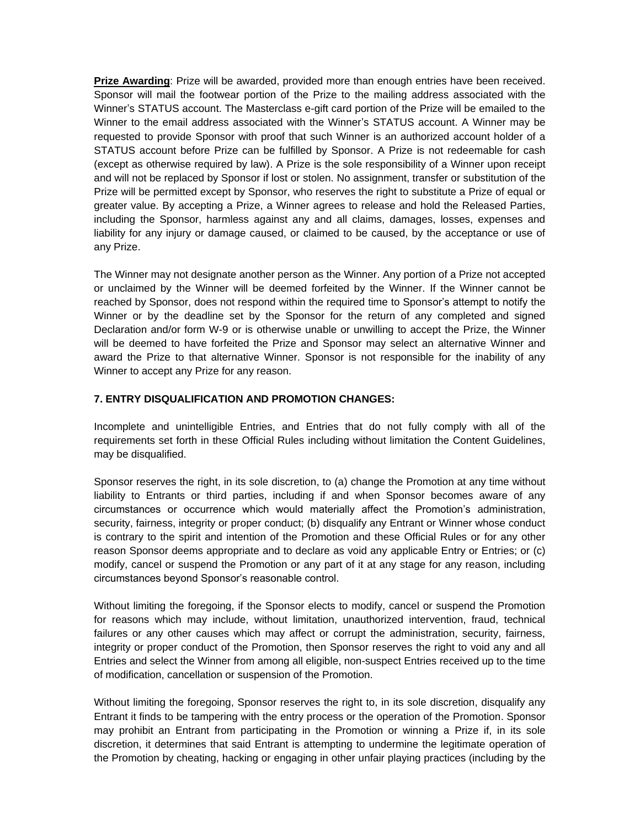**Prize Awarding**: Prize will be awarded, provided more than enough entries have been received. Sponsor will mail the footwear portion of the Prize to the mailing address associated with the Winner's STATUS account. The Masterclass e-gift card portion of the Prize will be emailed to the Winner to the email address associated with the Winner's STATUS account. A Winner may be requested to provide Sponsor with proof that such Winner is an authorized account holder of a STATUS account before Prize can be fulfilled by Sponsor. A Prize is not redeemable for cash (except as otherwise required by law). A Prize is the sole responsibility of a Winner upon receipt and will not be replaced by Sponsor if lost or stolen. No assignment, transfer or substitution of the Prize will be permitted except by Sponsor, who reserves the right to substitute a Prize of equal or greater value. By accepting a Prize, a Winner agrees to release and hold the Released Parties, including the Sponsor, harmless against any and all claims, damages, losses, expenses and liability for any injury or damage caused, or claimed to be caused, by the acceptance or use of any Prize.

The Winner may not designate another person as the Winner. Any portion of a Prize not accepted or unclaimed by the Winner will be deemed forfeited by the Winner. If the Winner cannot be reached by Sponsor, does not respond within the required time to Sponsor's attempt to notify the Winner or by the deadline set by the Sponsor for the return of any completed and signed Declaration and/or form W-9 or is otherwise unable or unwilling to accept the Prize, the Winner will be deemed to have forfeited the Prize and Sponsor may select an alternative Winner and award the Prize to that alternative Winner. Sponsor is not responsible for the inability of any Winner to accept any Prize for any reason.

# **7. ENTRY DISQUALIFICATION AND PROMOTION CHANGES:**

Incomplete and unintelligible Entries, and Entries that do not fully comply with all of the requirements set forth in these Official Rules including without limitation the Content Guidelines, may be disqualified.

Sponsor reserves the right, in its sole discretion, to (a) change the Promotion at any time without liability to Entrants or third parties, including if and when Sponsor becomes aware of any circumstances or occurrence which would materially affect the Promotion's administration, security, fairness, integrity or proper conduct; (b) disqualify any Entrant or Winner whose conduct is contrary to the spirit and intention of the Promotion and these Official Rules or for any other reason Sponsor deems appropriate and to declare as void any applicable Entry or Entries; or (c) modify, cancel or suspend the Promotion or any part of it at any stage for any reason, including circumstances beyond Sponsor's reasonable control.

Without limiting the foregoing, if the Sponsor elects to modify, cancel or suspend the Promotion for reasons which may include, without limitation, unauthorized intervention, fraud, technical failures or any other causes which may affect or corrupt the administration, security, fairness, integrity or proper conduct of the Promotion, then Sponsor reserves the right to void any and all Entries and select the Winner from among all eligible, non-suspect Entries received up to the time of modification, cancellation or suspension of the Promotion.

Without limiting the foregoing, Sponsor reserves the right to, in its sole discretion, disqualify any Entrant it finds to be tampering with the entry process or the operation of the Promotion. Sponsor may prohibit an Entrant from participating in the Promotion or winning a Prize if, in its sole discretion, it determines that said Entrant is attempting to undermine the legitimate operation of the Promotion by cheating, hacking or engaging in other unfair playing practices (including by the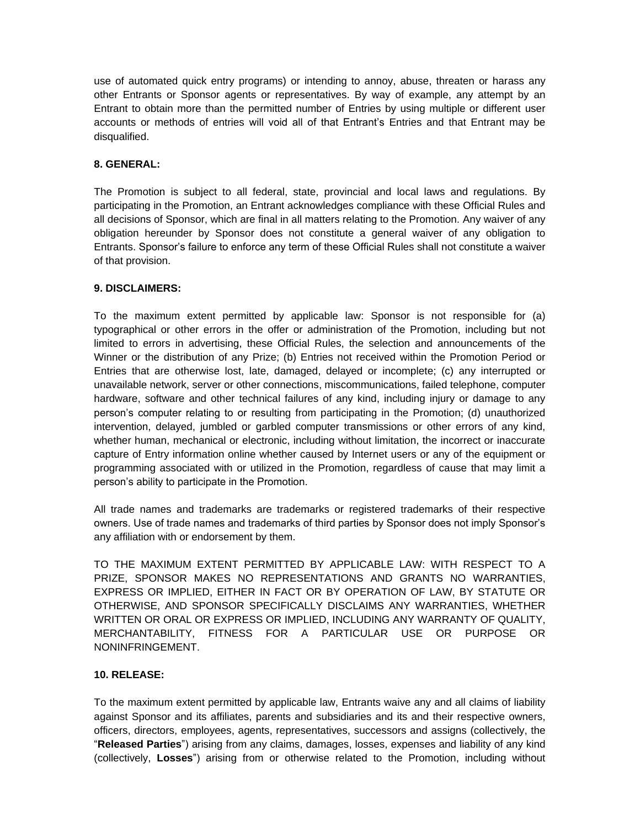use of automated quick entry programs) or intending to annoy, abuse, threaten or harass any other Entrants or Sponsor agents or representatives. By way of example, any attempt by an Entrant to obtain more than the permitted number of Entries by using multiple or different user accounts or methods of entries will void all of that Entrant's Entries and that Entrant may be disqualified.

# **8. GENERAL:**

The Promotion is subject to all federal, state, provincial and local laws and regulations. By participating in the Promotion, an Entrant acknowledges compliance with these Official Rules and all decisions of Sponsor, which are final in all matters relating to the Promotion. Any waiver of any obligation hereunder by Sponsor does not constitute a general waiver of any obligation to Entrants. Sponsor's failure to enforce any term of these Official Rules shall not constitute a waiver of that provision.

## **9. DISCLAIMERS:**

To the maximum extent permitted by applicable law: Sponsor is not responsible for (a) typographical or other errors in the offer or administration of the Promotion, including but not limited to errors in advertising, these Official Rules, the selection and announcements of the Winner or the distribution of any Prize; (b) Entries not received within the Promotion Period or Entries that are otherwise lost, late, damaged, delayed or incomplete; (c) any interrupted or unavailable network, server or other connections, miscommunications, failed telephone, computer hardware, software and other technical failures of any kind, including injury or damage to any person's computer relating to or resulting from participating in the Promotion; (d) unauthorized intervention, delayed, jumbled or garbled computer transmissions or other errors of any kind, whether human, mechanical or electronic, including without limitation, the incorrect or inaccurate capture of Entry information online whether caused by Internet users or any of the equipment or programming associated with or utilized in the Promotion, regardless of cause that may limit a person's ability to participate in the Promotion.

All trade names and trademarks are trademarks or registered trademarks of their respective owners. Use of trade names and trademarks of third parties by Sponsor does not imply Sponsor's any affiliation with or endorsement by them.

TO THE MAXIMUM EXTENT PERMITTED BY APPLICABLE LAW: WITH RESPECT TO A PRIZE, SPONSOR MAKES NO REPRESENTATIONS AND GRANTS NO WARRANTIES, EXPRESS OR IMPLIED, EITHER IN FACT OR BY OPERATION OF LAW, BY STATUTE OR OTHERWISE, AND SPONSOR SPECIFICALLY DISCLAIMS ANY WARRANTIES, WHETHER WRITTEN OR ORAL OR EXPRESS OR IMPLIED, INCLUDING ANY WARRANTY OF QUALITY, MERCHANTABILITY, FITNESS FOR A PARTICULAR USE OR PURPOSE OR NONINFRINGEMENT.

## **10. RELEASE:**

To the maximum extent permitted by applicable law, Entrants waive any and all claims of liability against Sponsor and its affiliates, parents and subsidiaries and its and their respective owners, officers, directors, employees, agents, representatives, successors and assigns (collectively, the "**Released Parties**") arising from any claims, damages, losses, expenses and liability of any kind (collectively, **Losses**") arising from or otherwise related to the Promotion, including without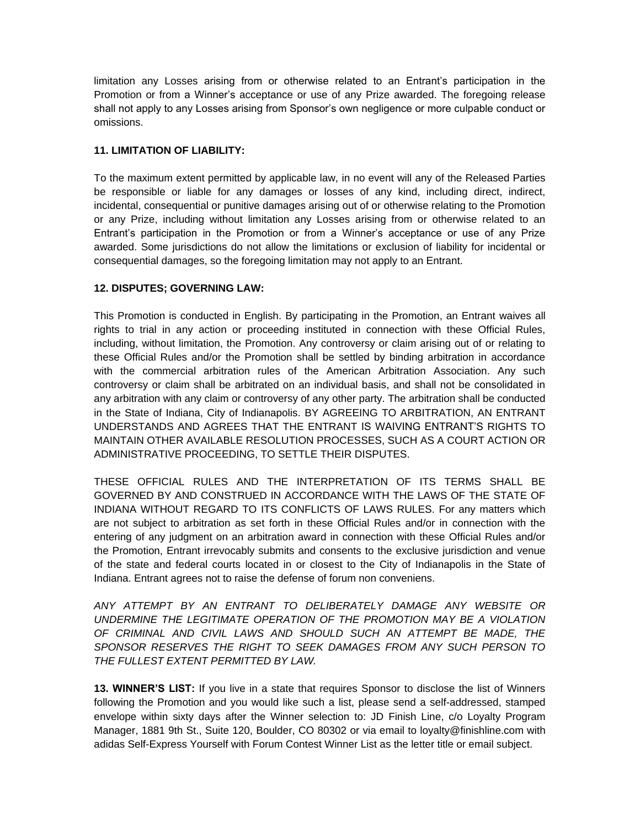limitation any Losses arising from or otherwise related to an Entrant's participation in the Promotion or from a Winner's acceptance or use of any Prize awarded. The foregoing release shall not apply to any Losses arising from Sponsor's own negligence or more culpable conduct or omissions.

## **11. LIMITATION OF LIABILITY:**

To the maximum extent permitted by applicable law, in no event will any of the Released Parties be responsible or liable for any damages or losses of any kind, including direct, indirect, incidental, consequential or punitive damages arising out of or otherwise relating to the Promotion or any Prize, including without limitation any Losses arising from or otherwise related to an Entrant's participation in the Promotion or from a Winner's acceptance or use of any Prize awarded. Some jurisdictions do not allow the limitations or exclusion of liability for incidental or consequential damages, so the foregoing limitation may not apply to an Entrant.

# **12. DISPUTES; GOVERNING LAW:**

This Promotion is conducted in English. By participating in the Promotion, an Entrant waives all rights to trial in any action or proceeding instituted in connection with these Official Rules, including, without limitation, the Promotion. Any controversy or claim arising out of or relating to these Official Rules and/or the Promotion shall be settled by binding arbitration in accordance with the commercial arbitration rules of the American Arbitration Association. Any such controversy or claim shall be arbitrated on an individual basis, and shall not be consolidated in any arbitration with any claim or controversy of any other party. The arbitration shall be conducted in the State of Indiana, City of Indianapolis. BY AGREEING TO ARBITRATION, AN ENTRANT UNDERSTANDS AND AGREES THAT THE ENTRANT IS WAIVING ENTRANT'S RIGHTS TO MAINTAIN OTHER AVAILABLE RESOLUTION PROCESSES, SUCH AS A COURT ACTION OR ADMINISTRATIVE PROCEEDING, TO SETTLE THEIR DISPUTES.

THESE OFFICIAL RULES AND THE INTERPRETATION OF ITS TERMS SHALL BE GOVERNED BY AND CONSTRUED IN ACCORDANCE WITH THE LAWS OF THE STATE OF INDIANA WITHOUT REGARD TO ITS CONFLICTS OF LAWS RULES. For any matters which are not subject to arbitration as set forth in these Official Rules and/or in connection with the entering of any judgment on an arbitration award in connection with these Official Rules and/or the Promotion, Entrant irrevocably submits and consents to the exclusive jurisdiction and venue of the state and federal courts located in or closest to the City of Indianapolis in the State of Indiana. Entrant agrees not to raise the defense of forum non conveniens.

*ANY ATTEMPT BY AN ENTRANT TO DELIBERATELY DAMAGE ANY WEBSITE OR UNDERMINE THE LEGITIMATE OPERATION OF THE PROMOTION MAY BE A VIOLATION OF CRIMINAL AND CIVIL LAWS AND SHOULD SUCH AN ATTEMPT BE MADE, THE SPONSOR RESERVES THE RIGHT TO SEEK DAMAGES FROM ANY SUCH PERSON TO THE FULLEST EXTENT PERMITTED BY LAW.*

**13. WINNER'S LIST:** If you live in a state that requires Sponsor to disclose the list of Winners following the Promotion and you would like such a list, please send a self-addressed, stamped envelope within sixty days after the Winner selection to: JD Finish Line, c/o Loyalty Program Manager, 1881 9th St., Suite 120, Boulder, CO 80302 or via email to loyalty@finishline.com with adidas Self-Express Yourself with Forum Contest Winner List as the letter title or email subject.